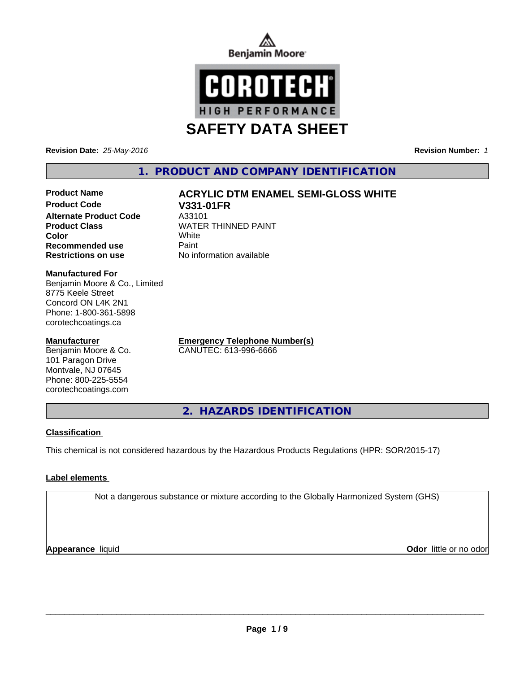



**Revision Date:** *25-May-2016* **Revision Number:** *1*

# **1. PRODUCT AND COMPANY IDENTIFICATION**

# **Product Code V331-01FR Alternate Product Code** A33101<br> **Product Class** MATER **Color** White **Recommended use Paint Restrictions on use** No information available

# **Product Name ACRYLIC DTM ENAMEL SEMI-GLOSS WHITE**

**WATER THINNED PAINT** 

# **Manufactured For**

Benjamin Moore & Co., Limited 8775 Keele Street Concord ON L4K 2N1 Phone: 1-800-361-5898 corotechcoatings.ca

# **Manufacturer**

Benjamin Moore & Co. 101 Paragon Drive Montvale, NJ 07645 Phone: 800-225-5554 corotechcoatings.com

**Emergency Telephone Number(s)** CANUTEC: 613-996-6666

**2. HAZARDS IDENTIFICATION**

# **Classification**

This chemical is not considered hazardous by the Hazardous Products Regulations (HPR: SOR/2015-17)

# **Label elements**

Not a dangerous substance or mixture according to the Globally Harmonized System (GHS)

**Appearance** liquid

**Odor** little or no odor

 $\overline{\phantom{a}}$  ,  $\overline{\phantom{a}}$  ,  $\overline{\phantom{a}}$  ,  $\overline{\phantom{a}}$  ,  $\overline{\phantom{a}}$  ,  $\overline{\phantom{a}}$  ,  $\overline{\phantom{a}}$  ,  $\overline{\phantom{a}}$  ,  $\overline{\phantom{a}}$  ,  $\overline{\phantom{a}}$  ,  $\overline{\phantom{a}}$  ,  $\overline{\phantom{a}}$  ,  $\overline{\phantom{a}}$  ,  $\overline{\phantom{a}}$  ,  $\overline{\phantom{a}}$  ,  $\overline{\phantom{a}}$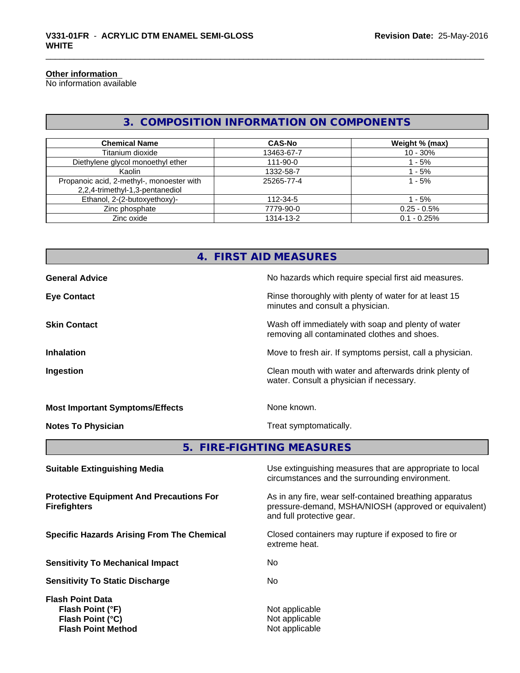## **Other information**

No information available

# **3. COMPOSITION INFORMATION ON COMPONENTS**

| <b>Chemical Name</b>                                                         | <b>CAS-No</b>  | Weight % (max) |
|------------------------------------------------------------------------------|----------------|----------------|
| Titanium dioxide                                                             | 13463-67-7     | $10 - 30%$     |
| Diethylene glycol monoethyl ether                                            | $111 - 90 - 0$ | - 5%           |
| Kaolin                                                                       | 1332-58-7      | - 5%           |
| Propanoic acid, 2-methyl-, monoester with<br>2,2,4-trimethyl-1,3-pentanediol | 25265-77-4     | $1 - 5%$       |
| Ethanol, 2-(2-butoxyethoxy)-                                                 | 112-34-5       | $-5%$          |
| Zinc phosphate                                                               | 7779-90-0      | $0.25 - 0.5%$  |
| Zinc oxide                                                                   | 1314-13-2      | $0.1 - 0.25%$  |

|                                        | 4. FIRST AID MEASURES                                                                              |  |  |
|----------------------------------------|----------------------------------------------------------------------------------------------------|--|--|
| <b>General Advice</b>                  | No hazards which require special first aid measures.                                               |  |  |
| <b>Eye Contact</b>                     | Rinse thoroughly with plenty of water for at least 15<br>minutes and consult a physician.          |  |  |
| <b>Skin Contact</b>                    | Wash off immediately with soap and plenty of water<br>removing all contaminated clothes and shoes. |  |  |
| <b>Inhalation</b>                      | Move to fresh air. If symptoms persist, call a physician.                                          |  |  |
| Ingestion                              | Clean mouth with water and afterwards drink plenty of<br>water. Consult a physician if necessary.  |  |  |
| <b>Most Important Symptoms/Effects</b> | None known.                                                                                        |  |  |
| <b>Notes To Physician</b>              | Treat symptomatically.                                                                             |  |  |
| 5. FIRE-FIGHTING MEASURES              |                                                                                                    |  |  |
| <b>Suitable Extinguishing Media</b>    | Use extinguishing measures that are appropriate to local                                           |  |  |

**Protective Equipment And Precautions For Firefighters**

**Sensitivity To Mechanical Impact** No

**Sensitivity To Static Discharge** No

**Flash Point Data Flash Point (°F)**<br> **Flash Point (°C)**<br> **Flash Point (°C)**<br> **CO Flash Point (°C) Flash Point Method** Not applicable

circumstances and the surrounding environment.

As in any fire, wear self-contained breathing apparatus pressure-demand, MSHA/NIOSH (approved or equivalent) and full protective gear.

**Specific Hazards Arising From The Chemical Closed containers may rupture if exposed to fire or** extreme heat.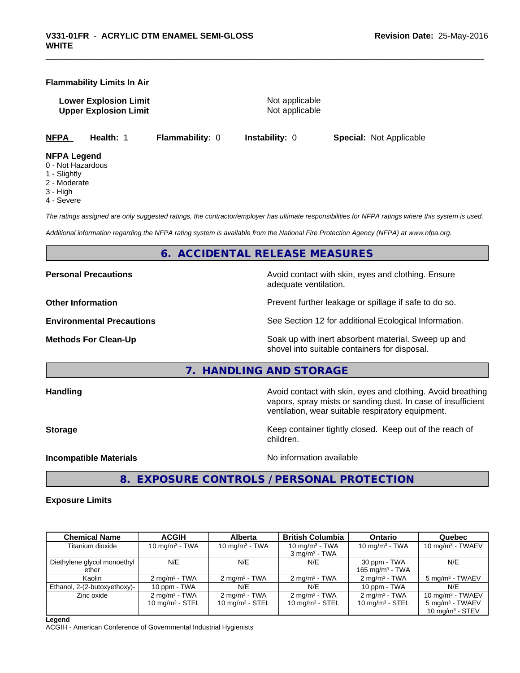# **Flammability Limits In Air**

**Lower Explosion Limit** Not applicable **Upper Explosion Limit** Not applicable

**NFPA Health:** 1 **Flammability:** 0 **Instability:** 0 **Special:** Not Applicable

#### **NFPA Legend**

- 0 Not Hazardous
- 1 Slightly
- 2 Moderate
- 3 High
- 4 Severe

*The ratings assigned are only suggested ratings, the contractor/employer has ultimate responsibilities for NFPA ratings where this system is used.*

*Additional information regarding the NFPA rating system is available from the National Fire Protection Agency (NFPA) at www.nfpa.org.*

# **6. ACCIDENTAL RELEASE MEASURES**

**Personal Precautions Precautions Personal Precautions Avoid contact with skin, eyes and clothing. Ensure** 

adequate ventilation.

**Other Information Department Information Department Intervent further leakage or spillage if safe to do so.** 

**Environmental Precautions** See Section 12 for additional Ecological Information.

**Methods For Clean-Up Example 20 All 20 All 20 All 20 All 20 All 20 Soak up with inert absorbent material. Sweep up and** shovel into suitable containers for disposal.

# **7. HANDLING AND STORAGE**

**Handling Handling Avoid contact with skin, eyes and clothing. Avoid breathing Handling Avoid breathing Avoid breathing** vapors, spray mists or sanding dust. In case of insufficient ventilation, wear suitable respiratory equipment.

**Storage Keep container tightly closed. Keep out of the reach of Keep** container tightly closed. Keep out of the reach of children.

**Incompatible Materials** Noinformation available

**8. EXPOSURE CONTROLS / PERSONAL PROTECTION**

# **Exposure Limits**

| <b>Chemical Name</b>         | <b>ACGIH</b>             | <b>Alberta</b>           | <b>British Columbia</b>  | <b>Ontario</b>           | Quebec                      |
|------------------------------|--------------------------|--------------------------|--------------------------|--------------------------|-----------------------------|
| Titanium dioxide             | 10 $mq/m3$ - TWA         | 10 mg/m $3$ - TWA        | 10 mg/m $3$ - TWA        | 10 mg/m $3$ - TWA        | 10 mg/m $3$ - TWAEV         |
|                              |                          |                          | $3 \text{ mg/m}^3$ - TWA |                          |                             |
| Diethylene glycol monoethyl  | N/E                      | N/E                      | N/E                      | 30 ppm - TWA             | N/E                         |
| ether                        |                          |                          |                          | 165 mg/m $3$ - TWA       |                             |
| Kaolin                       | $2 \text{ mg/m}^3$ - TWA | $2 \text{ mg/m}^3$ - TWA | $2 \text{ mg/m}^3$ - TWA | $2 \text{ mg/m}^3$ - TWA | 5 mg/m <sup>3</sup> - TWAEV |
| Ethanol, 2-(2-butoxyethoxy)- | 10 ppm - TWA             | N/E                      | N/E                      | 10 ppm - TWA             | N/E                         |
| Zinc oxide                   | $2 \text{ mg/m}^3$ - TWA | $2 \text{ mg/m}^3$ - TWA | $2 \text{ mg/m}^3$ - TWA | $2 \text{ mg/m}^3$ - TWA | 10 mg/m $3$ - TWAEV         |
|                              | 10 mg/m $3 -$ STEL       | 10 $mq/m3$ - STEL        | 10 mg/m $3 -$ STEL       | 10 mg/m $3 -$ STEL       | $5 \text{ mg/m}^3$ - TWAEV  |
|                              |                          |                          |                          |                          | 10 $mq/m3$ - STEV           |

#### **Legend**

ACGIH - American Conference of Governmental Industrial Hygienists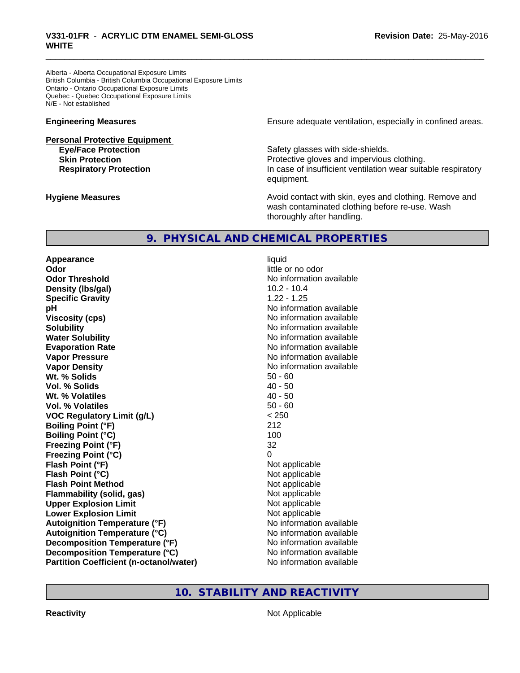Alberta - Alberta Occupational Exposure Limits British Columbia - British Columbia Occupational Exposure Limits Ontario - Ontario Occupational Exposure Limits Quebec - Quebec Occupational Exposure Limits N/E - Not established

# **Personal Protective Equipment**

**Engineering Measures Ensure** Ensure adequate ventilation, especially in confined areas.

**Eye/Face Protection Safety glasses with side-shields. Skin Protection Protection Protective gloves and impervious clothing. Respiratory Protection In case of insufficient ventilation wear suitable respiratory** equipment.

**Hygiene Measures Avoid contact with skin, eyes and clothing. Remove and Avoid contact with skin, eyes and clothing. Remove and Avoid contact with skin, eyes and clothing. Remove and** wash contaminated clothing before re-use. Wash thoroughly after handling.

# **9. PHYSICAL AND CHEMICAL PROPERTIES**

**Appearance** liquid **Odor** little or no odor **Odor Threshold** No information available **Density (Ibs/gal)** 10.2 - 10.4 **Specific Gravity** 1.22 - 1.25 **pH pH**  $\blacksquare$ **Viscosity (cps)** No information available **Solubility Note 2008 Note 2008 Note 2008 Note 2008 Note 2008 Note 2008 Note 2008 Note 2008 Note 2008 Note 2008 Note 2008 Note 2008 Note 2008 Note 2008 Note 2008 Note 2008 Note 2008 Note Water Solubility Water Solubility No information available Evaporation Rate No information available No information available Vapor Pressure** No information available in the North American Monte available in the North American available **Vapor Density No information available No information available Wt. % Solids** 50 - 60 **Vol. % Solids** 40 - 50 **Wt. % Volatiles** 40 - 50 **Vol. % Volatiles** 50 - 60 **VOC Regulatory Limit (g/L)** < 250 **Boiling Point (°F)** 212 **Boiling Point (°C)** 100 **Freezing Point (°F)** 32 **Freezing Point (°C)** 0 **Flash Point (°F)** Not applicable **Flash Point (°C)** Not applicable **Flash Point Method** Not applicable **Flammability (solid, gas)** Not applicable **Upper Explosion Limit** Not applicable **Lower Explosion Limit Contract Accord Accord Accord Accord Accord Accord Accord Accord Accord Accord Accord Accord Accord Accord Accord Accord Accord Accord Accord Accord Accord Accord Accord Accord Accord Accord Accord Autoignition Temperature (°F)**<br> **Autoignition Temperature (°C)** No information available **Autoignition Temperature (°C) Decomposition Temperature (°F)** No information available **Decomposition Temperature (°C)** No information available **Partition Coefficient (n-octanol/water) No information available** 

# **10. STABILITY AND REACTIVITY**

**Reactivity** Not Applicable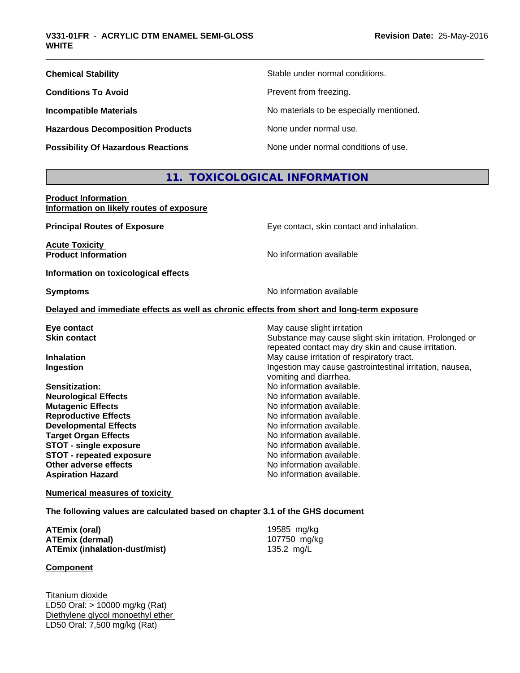| <b>Chemical Stability</b>                 | Stable under normal conditions.          |
|-------------------------------------------|------------------------------------------|
| <b>Conditions To Avoid</b>                | Prevent from freezing.                   |
| <b>Incompatible Materials</b>             | No materials to be especially mentioned. |
| <b>Hazardous Decomposition Products</b>   | None under normal use.                   |
| <b>Possibility Of Hazardous Reactions</b> | None under normal conditions of use.     |

# **11. TOXICOLOGICAL INFORMATION**

**Product Information Information on likely routes of exposure**

| <b>Principal Routes of Exposure</b>  | Eye contact, skin contact and inhalation.                                                  |
|--------------------------------------|--------------------------------------------------------------------------------------------|
| <b>Acute Toxicity</b>                |                                                                                            |
| <b>Product Information</b>           | No information available                                                                   |
| Information on toxicological effects |                                                                                            |
| <b>Symptoms</b>                      | No information available                                                                   |
|                                      | Delayed and immediate effects as well as chronic effects from short and long-term exposure |
| Eye contact                          | May cause slight irritation                                                                |
| <b>Skin contact</b>                  | Substance may cause slight skin irritation. Prolonged or                                   |
|                                      | repeated contact may dry skin and cause irritation.                                        |
| <b>Inhalation</b>                    | May cause irritation of respiratory tract.                                                 |
| Ingestion                            | Ingestion may cause gastrointestinal irritation, nausea,                                   |
|                                      | vomiting and diarrhea.                                                                     |
| Sensitization:                       | No information available.                                                                  |
| <b>Neurological Effects</b>          | No information available.                                                                  |
| <b>Mutagenic Effects</b>             | No information available.                                                                  |
| <b>Reproductive Effects</b>          | No information available.                                                                  |
| <b>Developmental Effects</b>         | No information available.                                                                  |
| <b>Target Organ Effects</b>          | No information available.                                                                  |
| <b>STOT - single exposure</b>        | No information available.                                                                  |
| <b>STOT - repeated exposure</b>      | No information available.                                                                  |
| Other adverse effects                | No information available.                                                                  |
| <b>Aspiration Hazard</b>             | No information available.                                                                  |
|                                      |                                                                                            |

**Numerical measures of toxicity**

**The following values are calculated based on chapter 3.1 of the GHS document**

| ATEmix (oral)                 | 19585 mg/kg  |
|-------------------------------|--------------|
| ATEmix (dermal)               | 107750 mg/kg |
| ATEmix (inhalation-dust/mist) | 135.2 mg/L   |

# **Component**

Titanium dioxide LD50 Oral: > 10000 mg/kg (Rat) Diethylene glycol monoethyl ether LD50 Oral: 7,500 mg/kg (Rat)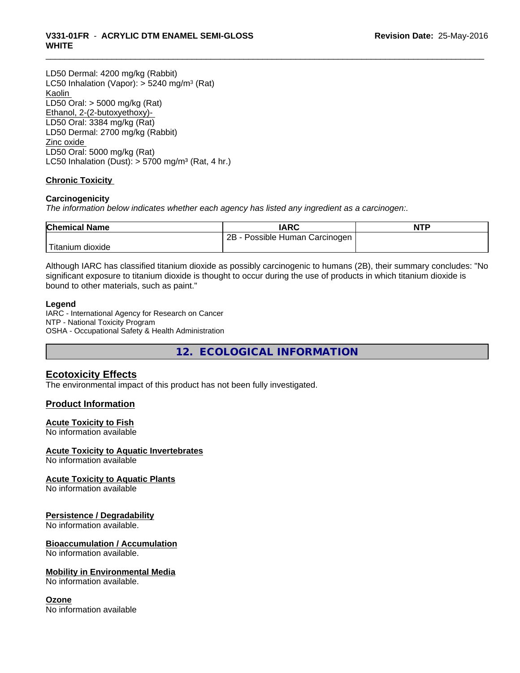# \_\_\_\_\_\_\_\_\_\_\_\_\_\_\_\_\_\_\_\_\_\_\_\_\_\_\_\_\_\_\_\_\_\_\_\_\_\_\_\_\_\_\_\_\_\_\_\_\_\_\_\_\_\_\_\_\_\_\_\_\_\_\_\_\_\_\_\_\_\_\_\_\_\_\_\_\_\_\_\_\_\_\_\_\_\_\_\_\_\_\_\_\_ **V331-01FR** - **ACRYLIC DTM ENAMEL SEMI-GLOSS WHITE**

LD50 Dermal: 4200 mg/kg (Rabbit) LC50 Inhalation (Vapor): > 5240 mg/m<sup>3</sup> (Rat) Kaolin LD50 Oral: > 5000 mg/kg (Rat) Ethanol, 2-(2-butoxyethoxy)- LD50 Oral: 3384 mg/kg (Rat) LD50 Dermal: 2700 mg/kg (Rabbit) Zinc oxide LD50 Oral: 5000 mg/kg (Rat) LC50 Inhalation (Dust):  $> 5700$  mg/m<sup>3</sup> (Rat, 4 hr.)

# **Chronic Toxicity**

# **Carcinogenicity**

*The information below indicateswhether each agency has listed any ingredient as a carcinogen:.*

| <b>Chemical Name</b> | <b>IARC</b>                     | <b>NTP</b> |
|----------------------|---------------------------------|------------|
|                      | 2B<br>Possible Human Carcinogen |            |
| Titanium dioxide     |                                 |            |

Although IARC has classified titanium dioxide as possibly carcinogenic to humans (2B), their summary concludes: "No significant exposure to titanium dioxide is thought to occur during the use of products in which titanium dioxide is bound to other materials, such as paint."

# **Legend**

IARC - International Agency for Research on Cancer NTP - National Toxicity Program OSHA - Occupational Safety & Health Administration

**12. ECOLOGICAL INFORMATION**

# **Ecotoxicity Effects**

The environmental impact of this product has not been fully investigated.

# **Product Information**

# **Acute Toxicity to Fish**

No information available

# **Acute Toxicity to Aquatic Invertebrates**

No information available

# **Acute Toxicity to Aquatic Plants**

No information available

# **Persistence / Degradability**

No information available.

# **Bioaccumulation / Accumulation**

No information available.

# **Mobility in Environmental Media**

No information available.

# **Ozone**

No information available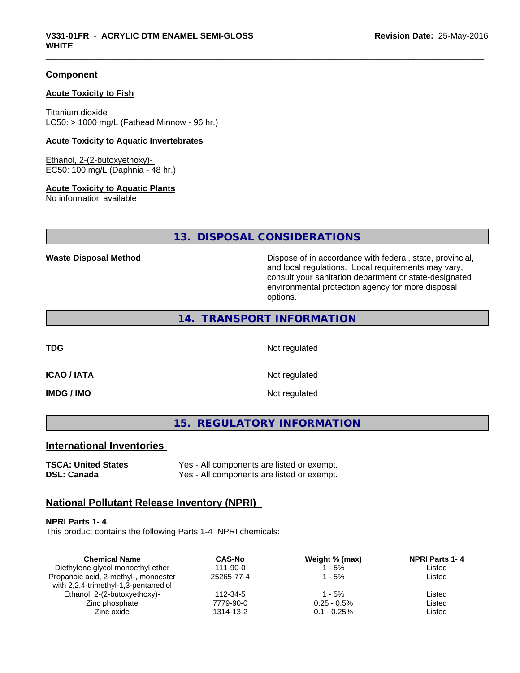# **Component**

# **Acute Toxicity to Fish**

Titanium dioxide  $LC50:$  > 1000 mg/L (Fathead Minnow - 96 hr.)

# **Acute Toxicity to Aquatic Invertebrates**

Ethanol, 2-(2-butoxyethoxy)- EC50: 100 mg/L (Daphnia - 48 hr.)

# **Acute Toxicity to Aquatic Plants**

No information available

# **13. DISPOSAL CONSIDERATIONS**

**Waste Disposal Method Dispose of in accordance with federal, state, provincial,** and local regulations. Local requirements may vary, consult your sanitation department or state-designated environmental protection agency for more disposal options.

# **14. TRANSPORT INFORMATION**

**TDG** Not regulated

**ICAO / IATA** Not regulated

**IMDG / IMO** Not regulated

**15. REGULATORY INFORMATION**

# **International Inventories**

**TSCA: United States** Yes - All components are listed or exempt. **DSL: Canada** Yes - All components are listed or exempt.

# **National Pollutant Release Inventory (NPRI)**

### **NPRI Parts 1- 4**

This product contains the following Parts 1-4 NPRI chemicals:

| <b>Chemical Name</b>                 | <b>CAS-No</b>  | Weight % (max) | <b>NPRI Parts 1-4</b> |  |
|--------------------------------------|----------------|----------------|-----------------------|--|
| Diethylene glycol monoethyl ether    | $111 - 90 - 0$ | - 5%           | Listed                |  |
| Propanoic acid, 2-methyl-, monoester | 25265-77-4     | l - 5%         | Listed                |  |
| with 2,2,4-trimethyl-1,3-pentanediol |                |                |                       |  |
| Ethanol, 2-(2-butoxyethoxy)-         | 112-34-5       | 1 - 5%         | Listed                |  |
| Zinc phosphate                       | 7779-90-0      | $0.25 - 0.5\%$ | Listed                |  |
| Zinc oxide                           | 1314-13-2      | $0.1 - 0.25\%$ | Listed                |  |
|                                      |                |                |                       |  |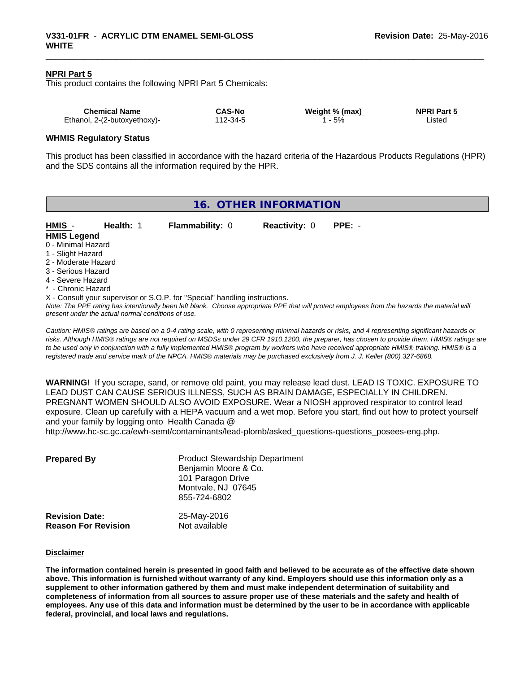# **NPRI Part 5**

This product contains the following NPRI Part 5 Chemicals:

| <b>Chemical Name</b>         | <b>CAS-No</b> | Weight % (max) | <b>NPRI Part 5</b> |
|------------------------------|---------------|----------------|--------------------|
| Ethanol, 2-(2-butoxyethoxy)- | 112-34-5      | 5%             | _isted             |

### **WHMIS Regulatory Status**

This product has been classified in accordance with the hazard criteria of the Hazardous Products Regulations (HPR) and the SDS contains all the information required by the HPR.

| 16. OTHER INFORMATION                     |                                                    |                                                                            |                      |                                                                                                                                               |
|-------------------------------------------|----------------------------------------------------|----------------------------------------------------------------------------|----------------------|-----------------------------------------------------------------------------------------------------------------------------------------------|
| HMIS -<br><b>HMIS Legend</b>              | Health: 1                                          | <b>Flammability: 0</b>                                                     | <b>Reactivity: 0</b> | $PPE: -$                                                                                                                                      |
| 0 - Minimal Hazard                        |                                                    |                                                                            |                      |                                                                                                                                               |
| 1 - Slight Hazard                         |                                                    |                                                                            |                      |                                                                                                                                               |
| 2 - Moderate Hazard<br>3 - Serious Hazard |                                                    |                                                                            |                      |                                                                                                                                               |
| 4 - Severe Hazard                         |                                                    |                                                                            |                      |                                                                                                                                               |
| * - Chronic Hazard                        |                                                    |                                                                            |                      |                                                                                                                                               |
|                                           |                                                    | X - Consult your supervisor or S.O.P. for "Special" handling instructions. |                      |                                                                                                                                               |
|                                           | present under the actual normal conditions of use. |                                                                            |                      | Note: The PPE rating has intentionally been left blank. Choose appropriate PPE that will protect employees from the hazards the material will |
|                                           |                                                    |                                                                            |                      |                                                                                                                                               |

*Caution: HMISÒ ratings are based on a 0-4 rating scale, with 0 representing minimal hazards or risks, and 4 representing significant hazards or risks. Although HMISÒ ratings are not required on MSDSs under 29 CFR 1910.1200, the preparer, has chosen to provide them. HMISÒ ratings are to be used only in conjunction with a fully implemented HMISÒ program by workers who have received appropriate HMISÒ training. HMISÒ is a registered trade and service mark of the NPCA. HMISÒ materials may be purchased exclusively from J. J. Keller (800) 327-6868.*

**WARNING!** If you scrape, sand, or remove old paint, you may release lead dust. LEAD IS TOXIC. EXPOSURE TO LEAD DUST CAN CAUSE SERIOUS ILLNESS, SUCH AS BRAIN DAMAGE, ESPECIALLY IN CHILDREN. PREGNANT WOMEN SHOULD ALSO AVOID EXPOSURE. Wear a NIOSH approved respirator to control lead exposure. Clean up carefully with a HEPA vacuum and a wet mop. Before you start, find out how to protect yourself and your family by logging onto Health Canada @

http://www.hc-sc.gc.ca/ewh-semt/contaminants/lead-plomb/asked\_questions-questions\_posees-eng.php.

| <b>Prepared By</b>                                  | <b>Product Stewardship Department</b><br>Benjamin Moore & Co.<br>101 Paragon Drive<br>Montvale, NJ 07645<br>855-724-6802 |  |  |
|-----------------------------------------------------|--------------------------------------------------------------------------------------------------------------------------|--|--|
| <b>Revision Date:</b><br><b>Reason For Revision</b> | 25-May-2016<br>Not available                                                                                             |  |  |

#### **Disclaimer**

The information contained herein is presented in good faith and believed to be accurate as of the effective date shown above. This information is furnished without warranty of any kind. Employers should use this information only as a **supplement to other information gathered by them and must make independent determination of suitability and** completeness of information from all sources to assure proper use of these materials and the safety and health of employees. Any use of this data and information must be determined by the user to be in accordance with applicable **federal, provincial, and local laws and regulations.**